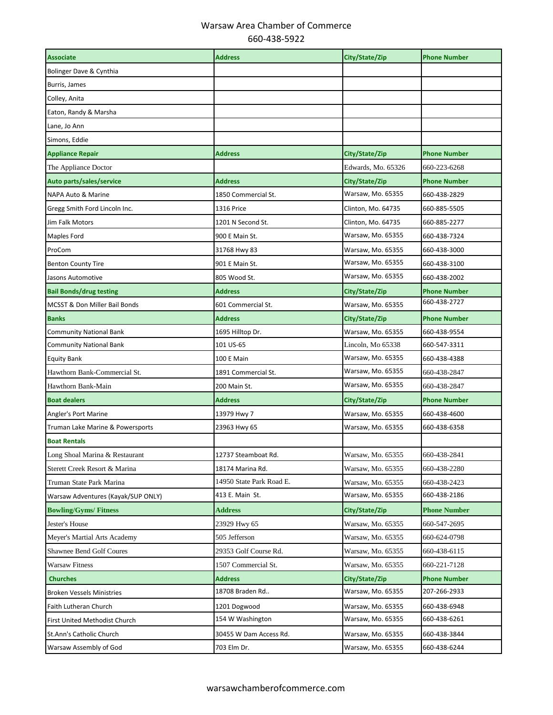| <b>Associate</b>                   | <b>Address</b>           | City/State/Zip     | <b>Phone Number</b> |
|------------------------------------|--------------------------|--------------------|---------------------|
| Bolinger Dave & Cynthia            |                          |                    |                     |
| Burris, James                      |                          |                    |                     |
| Colley, Anita                      |                          |                    |                     |
| Eaton, Randy & Marsha              |                          |                    |                     |
| Lane, Jo Ann                       |                          |                    |                     |
| Simons, Eddie                      |                          |                    |                     |
| <b>Appliance Repair</b>            | <b>Address</b>           | City/State/Zip     | <b>Phone Number</b> |
| The Appliance Doctor               |                          | Edwards, Mo. 65326 | 660-223-6268        |
| Auto parts/sales/service           | <b>Address</b>           | City/State/Zip     | <b>Phone Number</b> |
| NAPA Auto & Marine                 | 1850 Commercial St.      | Warsaw, Mo. 65355  | 660-438-2829        |
| Gregg Smith Ford Lincoln Inc.      | <b>1316 Price</b>        | Clinton, Mo. 64735 | 660-885-5505        |
| Jim Falk Motors                    | 1201 N Second St.        | Clinton, Mo. 64735 | 660-885-2277        |
| <b>Maples Ford</b>                 | 900 E Main St.           | Warsaw, Mo. 65355  | 660-438-7324        |
| ProCom                             | 31768 Hwy 83             | Warsaw, Mo. 65355  | 660-438-3000        |
| <b>Benton County Tire</b>          | 901 E Main St.           | Warsaw, Mo. 65355  | 660-438-3100        |
| Jasons Automotive                  | 805 Wood St.             | Warsaw, Mo. 65355  | 660-438-2002        |
| <b>Bail Bonds/drug testing</b>     | <b>Address</b>           | City/State/Zip     | <b>Phone Number</b> |
| MCSST & Don Miller Bail Bonds      | 601 Commercial St.       | Warsaw, Mo. 65355  | 660-438-2727        |
| <b>Banks</b>                       | <b>Address</b>           | City/State/Zip     | <b>Phone Number</b> |
| <b>Community National Bank</b>     | 1695 Hilltop Dr.         | Warsaw, Mo. 65355  | 660-438-9554        |
| <b>Community National Bank</b>     | 101 US-65                | Lincoln, Mo 65338  | 660-547-3311        |
| Equity Bank                        | 100 E Main               | Warsaw, Mo. 65355  | 660-438-4388        |
| Hawthorn Bank-Commercial St.       | 1891 Commercial St.      | Warsaw, Mo. 65355  | 660-438-2847        |
| Hawthorn Bank-Main                 | 200 Main St.             | Warsaw, Mo. 65355  | 660-438-2847        |
| <b>Boat dealers</b>                | <b>Address</b>           | City/State/Zip     | <b>Phone Number</b> |
| Angler's Port Marine               | 13979 Hwy 7              | Warsaw, Mo. 65355  | 660-438-4600        |
| Truman Lake Marine & Powersports   | 23963 Hwy 65             | Warsaw, Mo. 65355  | 660-438-6358        |
| <b>Boat Rentals</b>                |                          |                    |                     |
| Long Shoal Marina & Restaurant     | 12737 Steamboat Rd.      | Warsaw, Mo. 65355  | 660-438-2841        |
| Sterett Creek Resort & Marina      | 18174 Marina Rd.         | Warsaw, Mo. 65355  | 660-438-2280        |
| Truman State Park Marina           | 14950 State Park Road E. | Warsaw, Mo. 65355  | 660-438-2423        |
| Warsaw Adventures (Kayak/SUP ONLY) | 413 E. Main St.          | Warsaw, Mo. 65355  | 660-438-2186        |
| <b>Bowling/Gyms/Fitness</b>        | <b>Address</b>           | City/State/Zip     | <b>Phone Number</b> |
| Jester's House                     | 23929 Hwy 65             | Warsaw, Mo. 65355  | 660-547-2695        |
| Meyer's Martial Arts Academy       | 505 Jefferson            | Warsaw, Mo. 65355  | 660-624-0798        |
| <b>Shawnee Bend Golf Coures</b>    | 29353 Golf Course Rd.    | Warsaw, Mo. 65355  | 660-438-6115        |
| Warsaw Fitness                     | 1507 Commercial St.      | Warsaw, Mo. 65355  | 660-221-7128        |
| <b>Churches</b>                    | <b>Address</b>           | City/State/Zip     | <b>Phone Number</b> |
| <b>Broken Vessels Ministries</b>   | 18708 Braden Rd          | Warsaw, Mo. 65355  | 207-266-2933        |
| Faith Lutheran Church              | 1201 Dogwood             | Warsaw, Mo. 65355  | 660-438-6948        |
| First United Methodist Church      | 154 W Washington         | Warsaw, Mo. 65355  | 660-438-6261        |
| St.Ann's Catholic Church           | 30455 W Dam Access Rd.   | Warsaw, Mo. 65355  | 660-438-3844        |
| Warsaw Assembly of God             | 703 Elm Dr.              | Warsaw, Mo. 65355  | 660-438-6244        |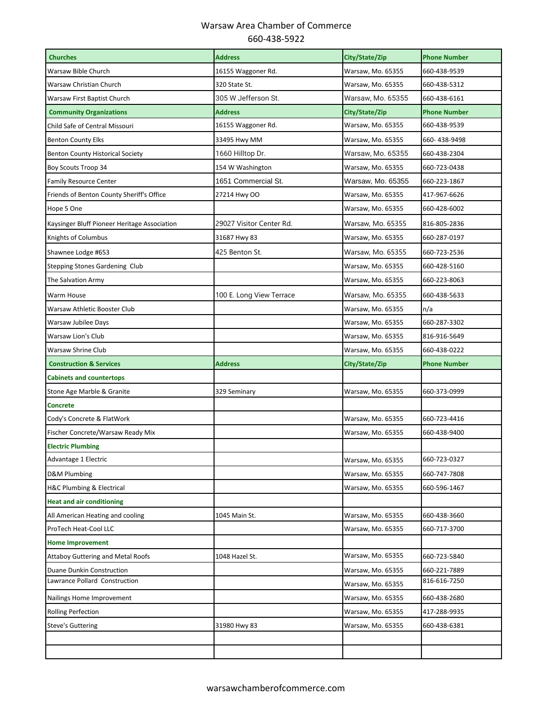| <b>Churches</b>                              | <b>Address</b>           | City/State/Zip    | <b>Phone Number</b> |
|----------------------------------------------|--------------------------|-------------------|---------------------|
| Warsaw Bible Church                          | 16155 Waggoner Rd.       | Warsaw, Mo. 65355 | 660-438-9539        |
| Warsaw Christian Church                      | 320 State St.            | Warsaw, Mo. 65355 | 660-438-5312        |
| Warsaw First Baptist Church                  | 305 W Jefferson St.      | Warsaw, Mo. 65355 | 660-438-6161        |
| <b>Community Organizations</b>               | <b>Address</b>           | City/State/Zip    | Phone Number        |
| Child Safe of Central Missouri               | 16155 Waggoner Rd.       | Warsaw, Mo. 65355 | 660-438-9539        |
| <b>Benton County Elks</b>                    | 33495 Hwy MM             | Warsaw, Mo. 65355 | 660-438-9498        |
| <b>Benton County Historical Society</b>      | 1660 Hilltop Dr.         | Warsaw, Mo. 65355 | 660-438-2304        |
| Boy Scouts Troop 34                          | 154 W Washington         | Warsaw, Mo. 65355 | 660-723-0438        |
| <b>Family Resource Center</b>                | 1651 Commercial St.      | Warsaw, Mo. 65355 | 660-223-1867        |
| Friends of Benton County Sheriff's Office    | 27214 Hwy OO             | Warsaw, Mo. 65355 | 417-967-6626        |
| Hope 5 One                                   |                          | Warsaw, Mo. 65355 | 660-428-6002        |
| Kaysinger Bluff Pioneer Heritage Association | 29027 Visitor Center Rd. | Warsaw, Mo. 65355 | 816-805-2836        |
| Knights of Columbus                          | 31687 Hwy 83             | Warsaw, Mo. 65355 | 660-287-0197        |
| Shawnee Lodge #653                           | 425 Benton St.           | Warsaw, Mo. 65355 | 660-723-2536        |
| <b>Stepping Stones Gardening Club</b>        |                          | Warsaw, Mo. 65355 | 660-428-5160        |
| The Salvation Army                           |                          | Warsaw, Mo. 65355 | 660-223-8063        |
| Warm House                                   | 100 E. Long View Terrace | Warsaw, Mo. 65355 | 660-438-5633        |
| Warsaw Athletic Booster Club                 |                          | Warsaw, Mo. 65355 | n/a                 |
| Warsaw Jubilee Days                          |                          | Warsaw, Mo. 65355 | 660-287-3302        |
| Warsaw Lion's Club                           |                          | Warsaw, Mo. 65355 | 816-916-5649        |
| Warsaw Shrine Club                           |                          | Warsaw, Mo. 65355 | 660-438-0222        |
|                                              |                          |                   |                     |
| <b>Construction &amp; Services</b>           | <b>Address</b>           | City/State/Zip    | <b>Phone Number</b> |
| <b>Cabinets and countertops</b>              |                          |                   |                     |
| Stone Age Marble & Granite                   | 329 Seminary             | Warsaw, Mo. 65355 | 660-373-0999        |
| <b>Concrete</b>                              |                          |                   |                     |
| Cody's Concrete & FlatWork                   |                          | Warsaw, Mo. 65355 | 660-723-4416        |
| Fischer Concrete/Warsaw Ready Mix            |                          | Warsaw, Mo. 65355 | 660-438-9400        |
| <b>Electric Plumbing</b>                     |                          |                   |                     |
| Advantage 1 Electric                         |                          | Warsaw, Mo. 65355 | 660-723-0327        |
| D&M Plumbing                                 |                          | Warsaw, Mo. 65355 | 660-747-7808        |
| H&C Plumbing & Electrical                    |                          | Warsaw, Mo. 65355 | 660-596-1467        |
| <b>Heat and air conditioning</b>             |                          |                   |                     |
| All American Heating and cooling             | 1045 Main St.            | Warsaw, Mo. 65355 | 660-438-3660        |
| ProTech Heat-Cool LLC                        |                          | Warsaw, Mo. 65355 | 660-717-3700        |
| <b>Home Improvement</b>                      |                          |                   |                     |
| <b>Attaboy Guttering and Metal Roofs</b>     | 1048 Hazel St.           | Warsaw, Mo. 65355 | 660-723-5840        |
| Duane Dunkin Construction                    |                          | Warsaw, Mo. 65355 | 660-221-7889        |
| Lawrance Pollard Construction                |                          | Warsaw, Mo. 65355 | 816-616-7250        |
| Nailings Home Improvement                    |                          | Warsaw, Mo. 65355 | 660-438-2680        |
| <b>Rolling Perfection</b>                    |                          | Warsaw, Mo. 65355 | 417-288-9935        |
| <b>Steve's Guttering</b>                     | 31980 Hwy 83             | Warsaw, Mo. 65355 | 660-438-6381        |
|                                              |                          |                   |                     |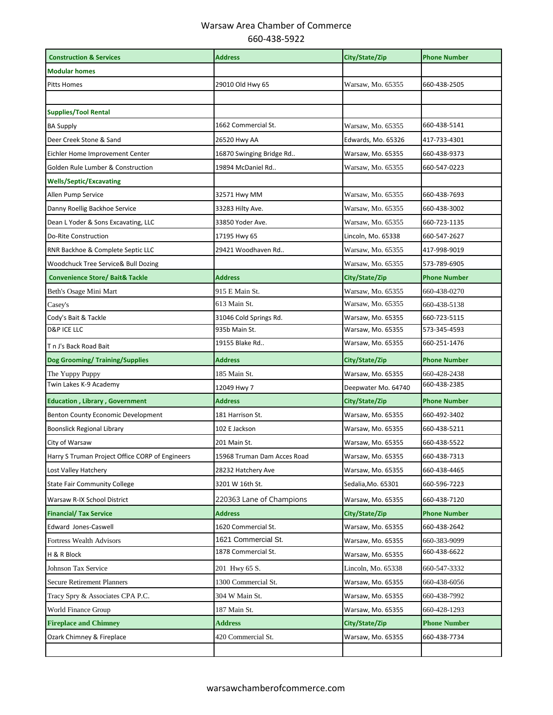| <b>Construction &amp; Services</b>              | <b>Address</b>              | City/State/Zip      | <b>Phone Number</b> |
|-------------------------------------------------|-----------------------------|---------------------|---------------------|
| <b>Modular homes</b>                            |                             |                     |                     |
| <b>Pitts Homes</b>                              | 29010 Old Hwy 65            | Warsaw, Mo. 65355   | 660-438-2505        |
|                                                 |                             |                     |                     |
| <b>Supplies/Tool Rental</b>                     |                             |                     |                     |
| <b>BA Supply</b>                                | 1662 Commercial St.         | Warsaw, Mo. 65355   | 660-438-5141        |
| Deer Creek Stone & Sand                         | 26520 Hwy AA                | Edwards, Mo. 65326  | 417-733-4301        |
| Eichler Home Improvement Center                 | 16870 Swinging Bridge Rd    | Warsaw, Mo. 65355   | 660-438-9373        |
| Golden Rule Lumber & Construction               | 19894 McDaniel Rd           | Warsaw, Mo. 65355   | 660-547-0223        |
| <b>Wells/Septic/Excavating</b>                  |                             |                     |                     |
| Allen Pump Service                              | 32571 Hwy MM                | Warsaw, Mo. 65355   | 660-438-7693        |
| Danny Roellig Backhoe Service                   | 33283 Hilty Ave.            | Warsaw, Mo. 65355   | 660-438-3002        |
| Dean L Yoder & Sons Excavating, LLC             | 33850 Yoder Ave.            | Warsaw, Mo. 65355   | 660-723-1135        |
| <b>Do-Rite Construction</b>                     | 17195 Hwy 65                | Lincoln, Mo. 65338  | 660-547-2627        |
| RNR Backhoe & Complete Septic LLC               | 29421 Woodhaven Rd          | Warsaw, Mo. 65355   | 417-998-9019        |
| Woodchuck Tree Service& Bull Dozing             |                             | Warsaw, Mo. 65355   | 573-789-6905        |
| <b>Convenience Store/ Bait&amp; Tackle</b>      | <b>Address</b>              | City/State/Zip      | <b>Phone Number</b> |
| Beth's Osage Mini Mart                          | 915 E Main St.              | Warsaw, Mo. 65355   | 660-438-0270        |
| Casey's                                         | 613 Main St.                | Warsaw, Mo. 65355   | 660-438-5138        |
| Cody's Bait & Tackle                            | 31046 Cold Springs Rd.      | Warsaw, Mo. 65355   | 660-723-5115        |
| <b>D&amp;P ICE LLC</b>                          | 935b Main St.               | Warsaw, Mo. 65355   | 573-345-4593        |
| T n J's Back Road Bait                          | 19155 Blake Rd              | Warsaw, Mo. 65355   | 660-251-1476        |
| <b>Dog Grooming/ Training/Supplies</b>          | <b>Address</b>              | City/State/Zip      | <b>Phone Number</b> |
| The Yuppy Puppy                                 | 185 Main St.                | Warsaw, Mo. 65355   | 660-428-2438        |
| Twin Lakes K-9 Academy                          | 12049 Hwy 7                 | Deepwater Mo. 64740 | 660-438-2385        |
| <b>Education, Library, Government</b>           | <b>Address</b>              | City/State/Zip      | <b>Phone Number</b> |
| Benton County Economic Development              | 181 Harrison St.            | Warsaw, Mo. 65355   | 660-492-3402        |
| <b>Boonslick Regional Library</b>               | 102 E Jackson               | Warsaw, Mo. 65355   | 660-438-5211        |
| City of Warsaw                                  | 201 Main St.                | Warsaw, Mo. 65355   | 660-438-5522        |
| Harry S Truman Project Office CORP of Engineers | 15968 Truman Dam Acces Road | Warsaw, Mo. 65355   | 660-438-7313        |
| Lost Valley Hatchery                            | 28232 Hatchery Ave          | Warsaw, Mo. 65355   | 660-438-4465        |
| <b>State Fair Community College</b>             | 3201 W 16th St.             | Sedalia, Mo. 65301  | 660-596-7223        |
| Warsaw R-IX School District                     | 220363 Lane of Champions    | Warsaw, Mo. 65355   | 660-438-7120        |
| <b>Financial/ Tax Service</b>                   | <b>Address</b>              | City/State/Zip      | <b>Phone Number</b> |
| Edward Jones-Caswell                            | 1620 Commercial St.         | Warsaw, Mo. 65355   | 660-438-2642        |
| Fortress Wealth Advisors                        | 1621 Commercial St.         | Warsaw, Mo. 65355   | 660-383-9099        |
| H & R Block                                     | 1878 Commercial St.         | Warsaw, Mo. 65355   | 660-438-6622        |
| Johnson Tax Service                             | 201 Hwy 65 S.               | Lincoln, Mo. 65338  | 660-547-3332        |
| <b>Secure Retirement Planners</b>               | 1300 Commercial St.         | Warsaw, Mo. 65355   | 660-438-6056        |
| Tracy Spry & Associates CPA P.C.                | 304 W Main St.              | Warsaw, Mo. 65355   | 660-438-7992        |
| World Finance Group                             | 187 Main St.                | Warsaw, Mo. 65355   | 660-428-1293        |
| <b>Fireplace and Chimney</b>                    | <b>Address</b>              | City/State/Zip      | <b>Phone Number</b> |
| Ozark Chimney & Fireplace                       | 420 Commercial St.          | Warsaw, Mo. 65355   | 660-438-7734        |
|                                                 |                             |                     |                     |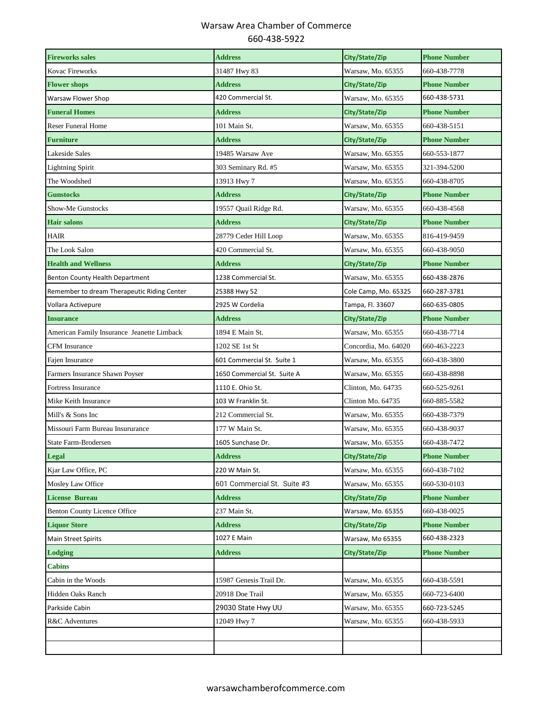| <b>Fireworks sales</b>                      | <b>Address</b>              | City/State/Zip       | <b>Phone Number</b> |
|---------------------------------------------|-----------------------------|----------------------|---------------------|
| Kovac Fireworks                             | 31487 Hwy 83                | Warsaw, Mo. 65355    | 660-438-7778        |
| <b>Flower shops</b>                         | <b>Address</b>              | City/State/Zip       | <b>Phone Number</b> |
| Warsaw Flower Shop                          | 420 Commercial St.          | Warsaw, Mo. 65355    | 660-438-5731        |
| <b>Funeral Homes</b>                        | <b>Address</b>              | City/State/Zip       | <b>Phone Number</b> |
| <b>Reser Funeral Home</b>                   | 101 Main St.                | Warsaw, Mo. 65355    | 660-438-5151        |
| <b>Furniture</b>                            | <b>Address</b>              | City/State/Zip       | <b>Phone Number</b> |
| Lakeside Sales                              | 19485 Warsaw Ave            | Warsaw, Mo. 65355    | 660-553-1877        |
| <b>Lightning Spirit</b>                     | 303 Seminary Rd. #5         | Warsaw, Mo. 65355    | 321-394-5200        |
| The Woodshed                                | 13913 Hwy 7                 | Warsaw, Mo. 65355    | 660-438-8705        |
| <b>Gunstocks</b>                            | <b>Address</b>              | City/State/Zip       | <b>Phone Number</b> |
| Show-Me Gunstocks                           | 19557 Quail Ridge Rd.       | Warsaw, Mo. 65355    | 660-438-4568        |
| <b>Hair salons</b>                          | <b>Address</b>              | City/State/Zip       | <b>Phone Number</b> |
| <b>HAIR</b>                                 | 28779 Ceder Hill Loop       | Warsaw, Mo. 65355    | 816-419-9459        |
| The Look Salon                              | 420 Commercial St.          | Warsaw, Mo. 65355    | 660-438-9050        |
| <b>Health and Wellness</b>                  | <b>Address</b>              | City/State/Zip       | <b>Phone Number</b> |
| Benton County Health Department             | 1238 Commercial St.         | Warsaw, Mo. 65355    | 660-438-2876        |
| Remember to dream Therapeutic Riding Center | 25388 Hwy 52                | Cole Camp, Mo. 65325 | 660-287-3781        |
| Vollara Activepure                          | 2925 W Cordelia             | Tampa, Fl. 33607     | 660-635-0805        |
| <b>Insurance</b>                            | <b>Address</b>              | City/State/Zip       | <b>Phone Number</b> |
| American Family Insurance Jeanette Limback  | 1894 E Main St.             | Warsaw, Mo. 65355    | 660-438-7714        |
| <b>CFM</b> Insurance                        | 1202 SE 1st St              | Concordia, Mo. 64020 | 660-463-2223        |
| Fajen Insurance                             | 601 Commercial St. Suite 1  | Warsaw, Mo. 65355    | 660-438-3800        |
| Farmers Insurance Shawn Poyser              | 1650 Commercial St. Suite A | Warsaw, Mo. 65355    | 660-438-8898        |
| Fortress Insurance                          | 1110 E. Ohio St.            | Clinton, Mo. 64735   | 660-525-9261        |
| Mike Keith Insurance                        | 103 W Franklin St.          | Clinton Mo. 64735    | 660-885-5582        |
| Mill's & Sons Inc                           | 212 Commercial St.          | Warsaw, Mo. 65355    | 660-438-7379        |
| Missouri Farm Bureau Insururance            | 177 W Main St.              | Warsaw, Mo. 65355    | 660-438-9037        |
| State Farm-Brodersen                        | 1605 Sunchase Dr.           | Warsaw, Mo. 65355    | 660-438-7472        |
| <b>Legal</b>                                | <b>Address</b>              | City/State/Zip       | <b>Phone Number</b> |
| Kjar Law Office, PC                         | 220 W Main St.              | Warsaw, Mo. 65355    | 660-438-7102        |
| Mosley Law Office                           | 601 Commercial St. Suite #3 | Warsaw, Mo. 65355    | 660-530-0103        |
| <b>License Bureau</b>                       | <b>Address</b>              | City/State/Zip       | <b>Phone Number</b> |
| <b>Benton County Licence Office</b>         | 237 Main St.                | Warsaw, Mo. 65355    | 660-438-0025        |
| <b>Liquor Store</b>                         | <b>Address</b>              | City/State/Zip       | <b>Phone Number</b> |
| <b>Main Street Spirits</b>                  | 1027 E Main                 | Warsaw, Mo 65355     | 660-438-2323        |
| <b>Lodging</b>                              | <b>Address</b>              | City/State/Zip       | <b>Phone Number</b> |
| <b>Cabins</b>                               |                             |                      |                     |
| Cabin in the Woods                          | 15987 Genesis Trail Dr.     | Warsaw, Mo. 65355    | 660-438-5591        |
| Hidden Oaks Ranch                           | 20918 Doe Trail             | Warsaw, Mo. 65355    | 660-723-6400        |
| Parkside Cabin                              | 29030 State Hwy UU          | Warsaw, Mo. 65355    | 660-723-5245        |
| R&C Adventures                              | 12049 Hwy 7                 | Warsaw, Mo. 65355    | 660-438-5933        |
|                                             |                             |                      |                     |
|                                             |                             |                      |                     |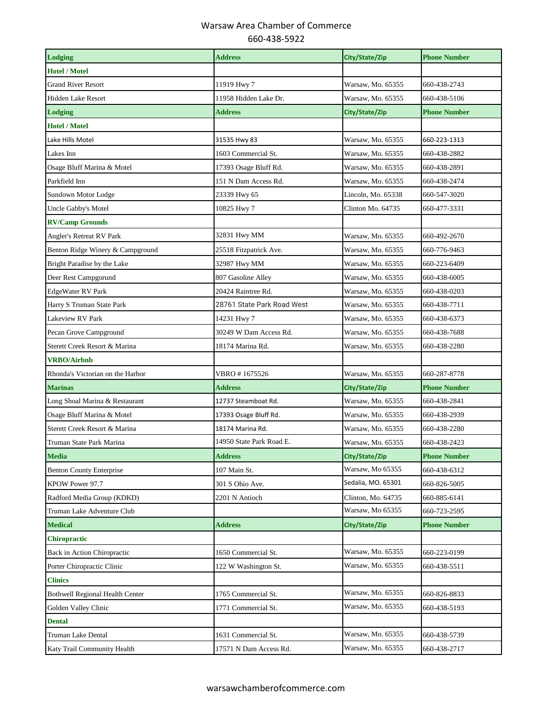| <b>Lodging</b>                         | <b>Address</b>             | City/State/Zip     | <b>Phone Number</b> |
|----------------------------------------|----------------------------|--------------------|---------------------|
| <b>Hotel / Motel</b>                   |                            |                    |                     |
| <b>Grand River Resort</b>              | 11919 Hwy 7                | Warsaw, Mo. 65355  | 660-438-2743        |
| <b>Hidden Lake Resort</b>              | 11958 Hidden Lake Dr.      | Warsaw, Mo. 65355  | 660-438-5106        |
| <b>Lodging</b>                         | <b>Address</b>             | City/State/Zip     | <b>Phone Number</b> |
| <b>Hotel / Motel</b>                   |                            |                    |                     |
| Lake Hills Motel                       | 31535 Hwy 83               | Warsaw, Mo. 65355  | 660-223-1313        |
| Lakes Inn                              | 1603 Commercial St.        | Warsaw, Mo. 65355  | 660-438-2882        |
| Osage Bluff Marina & Motel             | 17393 Osage Bluff Rd.      | Warsaw, Mo. 65355  | 660-438-2891        |
| Parkfield Inn                          | 151 N Dam Access Rd.       | Warsaw, Mo. 65355  | 660-438-2474        |
| Sundown Motor Lodge                    | 23339 Hwy 65               | Lincoln, Mo. 65338 | 660-547-3020        |
| Uncle Gabby's Motel                    | 10825 Hwy 7                | Clinton Mo. 64735  | 660-477-3331        |
| <b>RV/Camp Grounds</b>                 |                            |                    |                     |
| Angler's Retreat RV Park               | 32831 Hwy MM               | Warsaw, Mo. 65355  | 660-492-2670        |
| Benton Ridge Winery & Campground       | 25518 Fitzpatrick Ave.     | Warsaw, Mo. 65355  | 660-776-9463        |
| Bright Paradise by the Lake            | 32987 Hwy MM               | Warsaw, Mo. 65355  | 660-223-6409        |
| Deer Rest Campgorund                   | 807 Gasoline Alley         | Warsaw, Mo. 65355  | 660-438-6005        |
| EdgeWater RV Park                      | 20424 Raintree Rd.         | Warsaw, Mo. 65355  | 660-438-0203        |
| Harry S Truman State Park              | 28761 State Park Road West | Warsaw, Mo. 65355  | 660-438-7711        |
| Lakeview RV Park                       | 14231 Hwy 7                | Warsaw, Mo. 65355  | 660-438-6373        |
| Pecan Grove Campground                 | 30249 W Dam Access Rd.     | Warsaw, Mo. 65355  | 660-438-7688        |
| Sterett Creek Resort & Marina          | 18174 Marina Rd.           | Warsaw, Mo. 65355  | 660-438-2280        |
| <b>VRBO/Airbnb</b>                     |                            |                    |                     |
| Rhonda's Victorian on the Harbor       | VBRO #1675526              | Warsaw, Mo. 65355  | 660-287-8778        |
| <b>Marinas</b>                         | <b>Address</b>             | City/State/Zip     | <b>Phone Number</b> |
| Long Shoal Marina & Restaurant         | 12737 Steamboat Rd.        | Warsaw, Mo. 65355  | 660-438-2841        |
| Osage Bluff Marina & Motel             | 17393 Osage Bluff Rd.      | Warsaw, Mo. 65355  | 660-438-2939        |
| Sterett Creek Resort & Marina          | 18174 Marina Rd.           | Warsaw, Mo. 65355  | 660-438-2280        |
| Truman State Park Marina               | 14950 State Park Road E.   | Warsaw, Mo. 65355  | 660-438-2423        |
| <b>Media</b>                           | <b>Address</b>             | City/State/Zip     | <b>Phone Number</b> |
| <b>Benton County Enterprise</b>        | 107 Main St.               | Warsaw, Mo 65355   | 660-438-6312        |
| KPOW Power 97.7                        | 301 S Ohio Ave.            | Sedalia, MO. 65301 | 660-826-5005        |
| Radford Media Group (KDKD)             | 2201 N Antioch             | Clinton, Mo. 64735 | 660-885-6141        |
| Truman Lake Adventure Club             |                            | Warsaw, Mo 65355   | 660-723-2595        |
| <b>Medical</b>                         | <b>Address</b>             | City/State/Zip     | <b>Phone Number</b> |
| <b>Chiropractic</b>                    |                            |                    |                     |
| <b>Back in Action Chiropractic</b>     | 1650 Commercial St.        | Warsaw, Mo. 65355  | 660-223-0199        |
| Porter Chiropractic Clinic             | 122 W Washington St.       | Warsaw, Mo. 65355  | 660-438-5511        |
| <b>Clinics</b>                         |                            |                    |                     |
| <b>Bothwell Regional Health Center</b> | 1765 Commercial St.        | Warsaw, Mo. 65355  | 660-826-8833        |
| Golden Valley Clinic                   | 1771 Commercial St.        | Warsaw, Mo. 65355  | 660-438-5193        |
| <b>Dental</b>                          |                            |                    |                     |
| Truman Lake Dental                     | 1631 Commercial St.        | Warsaw, Mo. 65355  | 660-438-5739        |
| Katy Trail Community Health            | 17571 N Dam Access Rd.     | Warsaw, Mo. 65355  | 660-438-2717        |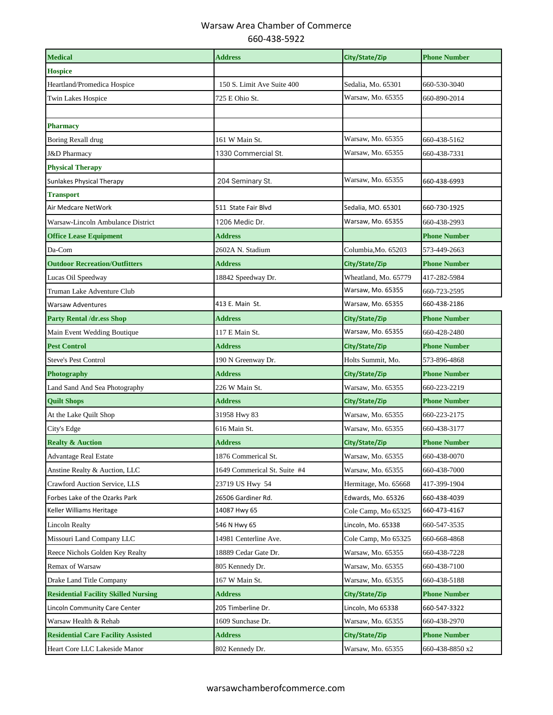| <b>Medical</b>                              | <b>Address</b>               | City/State/Zip       | <b>Phone Number</b> |
|---------------------------------------------|------------------------------|----------------------|---------------------|
| <b>Hospice</b>                              |                              |                      |                     |
| Heartland/Promedica Hospice                 | 150 S. Limit Ave Suite 400   | Sedalia, Mo. 65301   | 660-530-3040        |
| <b>Twin Lakes Hospice</b>                   | 725 E Ohio St.               | Warsaw, Mo. 65355    | 660-890-2014        |
|                                             |                              |                      |                     |
| <b>Pharmacy</b>                             |                              |                      |                     |
| Boring Rexall drug                          | 161 W Main St.               | Warsaw, Mo. 65355    | 660-438-5162        |
| <b>J&amp;D Pharmacy</b>                     | 1330 Commercial St.          | Warsaw, Mo. 65355    | 660-438-7331        |
| <b>Physical Therapy</b>                     |                              |                      |                     |
| Sunlakes Physical Therapy                   | 204 Seminary St.             | Warsaw, Mo. 65355    | 660-438-6993        |
| <b>Transport</b>                            |                              |                      |                     |
| Air Medcare NetWork                         | 511 State Fair Blvd          | Sedalia, MO. 65301   | 660-730-1925        |
| Warsaw-Lincoln Ambulance District           | 1206 Medic Dr.               | Warsaw, Mo. 65355    | 660-438-2993        |
| <b>Office Lease Equipment</b>               | <b>Address</b>               |                      | <b>Phone Number</b> |
| Da-Com                                      | 2602A N. Stadium             | Columbia,Mo. 65203   | 573-449-2663        |
| <b>Outdoor Recreation/Outfitters</b>        | <b>Address</b>               | City/State/Zip       | <b>Phone Number</b> |
| Lucas Oil Speedway                          | 18842 Speedway Dr.           | Wheatland, Mo. 65779 | 417-282-5984        |
| Truman Lake Adventure Club                  |                              | Warsaw, Mo. 65355    | 660-723-2595        |
| <b>Warsaw Adventures</b>                    | 413 E. Main St.              | Warsaw, Mo. 65355    | 660-438-2186        |
| <b>Party Rental /dr.ess Shop</b>            | <b>Address</b>               | City/State/Zip       | <b>Phone Number</b> |
| Main Event Wedding Boutique                 | 117 E Main St.               | Warsaw, Mo. 65355    | 660-428-2480        |
| <b>Pest Control</b>                         | <b>Address</b>               | City/State/Zip       | <b>Phone Number</b> |
| <b>Steve's Pest Control</b>                 | 190 N Greenway Dr.           | Holts Summit, Mo.    | 573-896-4868        |
| Photography                                 | <b>Address</b>               | City/State/Zip       | <b>Phone Number</b> |
| Land Sand And Sea Photography               | 226 W Main St.               | Warsaw, Mo. 65355    | 660-223-2219        |
| <b>Ouilt Shops</b>                          | <b>Address</b>               | City/State/Zip       | <b>Phone Number</b> |
| At the Lake Quilt Shop                      | 31958 Hwy 83                 | Warsaw, Mo. 65355    | 660-223-2175        |
| City's Edge                                 | 616 Main St.                 | Warsaw, Mo. 65355    | 660-438-3177        |
| <b>Realty &amp; Auction</b>                 | <b>Address</b>               | City/State/Zip       | <b>Phone Number</b> |
| <b>Advantage Real Estate</b>                | 1876 Commerical St.          | Warsaw, Mo. 65355    | 660-438-0070        |
| Anstine Realty & Auction, LLC               | 1649 Commerical St. Suite #4 | Warsaw, Mo. 65355    | 660-438-7000        |
| Crawford Auction Service, LLS               | 23719 US Hwy 54              | Hermitage, Mo. 65668 | 417-399-1904        |
| Forbes Lake of the Ozarks Park              | 26506 Gardiner Rd.           | Edwards, Mo. 65326   | 660-438-4039        |
| Keller Williams Heritage                    | 14087 Hwy 65                 | Cole Camp, Mo 65325  | 660-473-4167        |
| Lincoln Realty                              | 546 N Hwy 65                 | Lincoln, Mo. 65338   | 660-547-3535        |
| Missouri Land Company LLC                   | 14981 Centerline Ave.        | Cole Camp, Mo 65325  | 660-668-4868        |
| Reece Nichols Golden Key Realty             | 18889 Cedar Gate Dr.         | Warsaw, Mo. 65355    | 660-438-7228        |
| <b>Remax of Warsaw</b>                      | 805 Kennedy Dr.              | Warsaw, Mo. 65355    | 660-438-7100        |
| Drake Land Title Company                    | 167 W Main St.               | Warsaw, Mo. 65355    | 660-438-5188        |
| <b>Residential Facility Skilled Nursing</b> | <b>Address</b>               | City/State/Zip       | <b>Phone Number</b> |
| Lincoln Community Care Center               | 205 Timberline Dr.           | Lincoln, Mo 65338    | 660-547-3322        |
| Warsaw Health & Rehab                       | 1609 Sunchase Dr.            | Warsaw, Mo. 65355    | 660-438-2970        |
| <b>Residential Care Facility Assisted</b>   | <b>Address</b>               | City/State/Zip       | <b>Phone Number</b> |
| Heart Core LLC Lakeside Manor               | 802 Kennedy Dr.              | Warsaw, Mo. 65355    | 660-438-8850 x2     |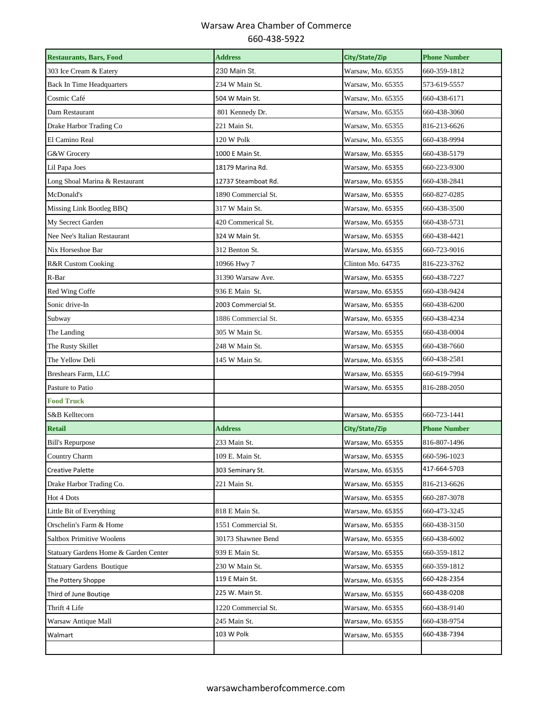| <b>Restaurants, Bars, Food</b>        | <b>Address</b>      | City/State/Zip    | <b>Phone Number</b> |
|---------------------------------------|---------------------|-------------------|---------------------|
| 303 Ice Cream & Eatery                | 230 Main St.        | Warsaw, Mo. 65355 | 660-359-1812        |
| Back In Time Headquarters             | 234 W Main St.      | Warsaw, Mo. 65355 | 573-619-5557        |
| Cosmic Café                           | 504 W Main St.      | Warsaw, Mo. 65355 | 660-438-6171        |
| Dam Restaurant                        | 801 Kennedy Dr.     | Warsaw, Mo. 65355 | 660-438-3060        |
| Drake Harbor Trading Co               | 221 Main St.        | Warsaw, Mo. 65355 | 816-213-6626        |
| El Camino Real                        | 120 W Polk          | Warsaw, Mo. 65355 | 660-438-9994        |
| G&W Grocery                           | 1000 E Main St.     | Warsaw, Mo. 65355 | 660-438-5179        |
| Lil Papa Joes                         | 18179 Marina Rd.    | Warsaw, Mo. 65355 | 660-223-9300        |
| Long Shoal Marina & Restaurant        | 12737 Steamboat Rd. | Warsaw, Mo. 65355 | 660-438-2841        |
| McDonald's                            | 1890 Commercial St. | Warsaw, Mo. 65355 | 660-827-0285        |
| Missing Link Bootleg BBQ              | 317 W Main St.      | Warsaw, Mo. 65355 | 660-438-3500        |
| My Secrect Garden                     | 420 Commerical St.  | Warsaw, Mo. 65355 | 660-438-5731        |
| Nee Nee's Italian Restaurant          | 324 W Main St.      | Warsaw, Mo. 65355 | 660-438-4421        |
| Nix Horseshoe Bar                     | 312 Benton St.      | Warsaw, Mo. 65355 | 660-723-9016        |
| <b>R&amp;R Custom Cooking</b>         | 10966 Hwy 7         | Clinton Mo. 64735 | 816-223-3762        |
| R-Bar                                 | 31390 Warsaw Ave.   | Warsaw, Mo. 65355 | 660-438-7227        |
| Red Wing Coffe                        | 936 E Main St.      | Warsaw, Mo. 65355 | 660-438-9424        |
| Sonic drive-In                        | 2003 Commercial St. | Warsaw, Mo. 65355 | 660-438-6200        |
| Subway                                | 1886 Commercial St. | Warsaw, Mo. 65355 | 660-438-4234        |
| The Landing                           | 305 W Main St.      | Warsaw, Mo. 65355 | 660-438-0004        |
| The Rusty Skillet                     | 248 W Main St.      | Warsaw, Mo. 65355 | 660-438-7660        |
| The Yellow Deli                       | 145 W Main St.      | Warsaw, Mo. 65355 | 660-438-2581        |
| Breshears Farm, LLC                   |                     | Warsaw, Mo. 65355 | 660-619-7994        |
| Pasture to Patio                      |                     | Warsaw, Mo. 65355 | 816-288-2050        |
| <b>Food Truck</b>                     |                     |                   |                     |
| S&B Kelltecorn                        |                     | Warsaw, Mo. 65355 | 660-723-1441        |
| <b>Retail</b>                         | <b>Address</b>      | City/State/Zip    | <b>Phone Number</b> |
| <b>Bill's Repurpose</b>               | 233 Main St.        | Warsaw, Mo. 65355 | 816-807-1496        |
| Country Charm                         | 109 E. Main St.     | Warsaw, Mo. 65355 | 660-596-1023        |
| Creative Palette                      | 303 Seminary St.    | Warsaw, Mo. 65355 | 417-664-5703        |
| Drake Harbor Trading Co.              | 221 Main St.        | Warsaw, Mo. 65355 | 816-213-6626        |
| Hot 4 Dots                            |                     | Warsaw, Mo. 65355 | 660-287-3078        |
| Little Bit of Everything              | 818 E Main St.      | Warsaw, Mo. 65355 | 660-473-3245        |
| Orschelin's Farm & Home               | 1551 Commercial St. | Warsaw, Mo. 65355 | 660-438-3150        |
| <b>Saltbox Primitive Woolens</b>      | 30173 Shawnee Bend  | Warsaw, Mo. 65355 | 660-438-6002        |
| Statuary Gardens Home & Garden Center | 939 E Main St.      | Warsaw, Mo. 65355 | 660-359-1812        |
| <b>Statuary Gardens Boutique</b>      | 230 W Main St.      | Warsaw, Mo. 65355 | 660-359-1812        |
| The Pottery Shoppe                    | 119 E Main St.      | Warsaw, Mo. 65355 | 660-428-2354        |
| Third of June Boutiqe                 | 225 W. Main St.     | Warsaw, Mo. 65355 | 660-438-0208        |
| Thrift 4 Life                         | 1220 Commercial St. | Warsaw, Mo. 65355 | 660-438-9140        |
| Warsaw Antique Mall                   | 245 Main St.        | Warsaw, Mo. 65355 | 660-438-9754        |
| Walmart                               | 103 W Polk          | Warsaw, Mo. 65355 | 660-438-7394        |
|                                       |                     |                   |                     |